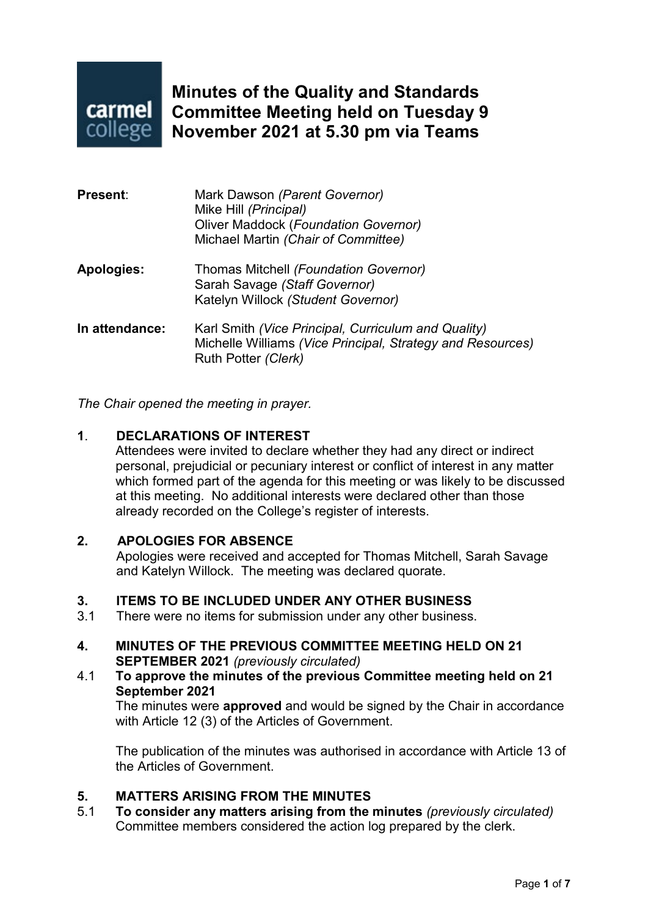

**Minutes of the Quality and Standards Committee Meeting held on Tuesday 9 November 2021 at 5.30 pm via Teams**

| <b>Present:</b>   | Mark Dawson (Parent Governor)<br>Mike Hill (Principal)<br><b>Oliver Maddock (Foundation Governor)</b><br>Michael Martin (Chair of Committee) |
|-------------------|----------------------------------------------------------------------------------------------------------------------------------------------|
| <b>Apologies:</b> | Thomas Mitchell (Foundation Governor)<br>Sarah Savage (Staff Governor)<br>Katelyn Willock (Student Governor)                                 |
| In attendance:    | Karl Smith (Vice Principal, Curriculum and Quality)<br>Michelle Williams (Vice Principal, Strategy and Resources)<br>Ruth Potter (Clerk)     |

*The Chair opened the meeting in prayer.*

#### **1**. **DECLARATIONS OF INTEREST**

Attendees were invited to declare whether they had any direct or indirect personal, prejudicial or pecuniary interest or conflict of interest in any matter which formed part of the agenda for this meeting or was likely to be discussed at this meeting. No additional interests were declared other than those already recorded on the College's register of interests.

#### **2. APOLOGIES FOR ABSENCE**

Apologies were received and accepted for Thomas Mitchell, Sarah Savage and Katelyn Willock. The meeting was declared quorate.

## **3. ITEMS TO BE INCLUDED UNDER ANY OTHER BUSINESS**<br>3.1 There were no items for submission under any other business

- There were no items for submission under any other business.
- **4. MINUTES OF THE PREVIOUS COMMITTEE MEETING HELD ON 21 SEPTEMBER 2021** *(previously circulated)*
- 4.1 **To approve the minutes of the previous Committee meeting held on 21 September 2021**

The minutes were **approved** and would be signed by the Chair in accordance with Article 12 (3) of the Articles of Government.

The publication of the minutes was authorised in accordance with Article 13 of the Articles of Government.

## **5. MATTERS ARISING FROM THE MINUTES**

5.1 **To consider any matters arising from the minutes** *(previously circulated)* Committee members considered the action log prepared by the clerk.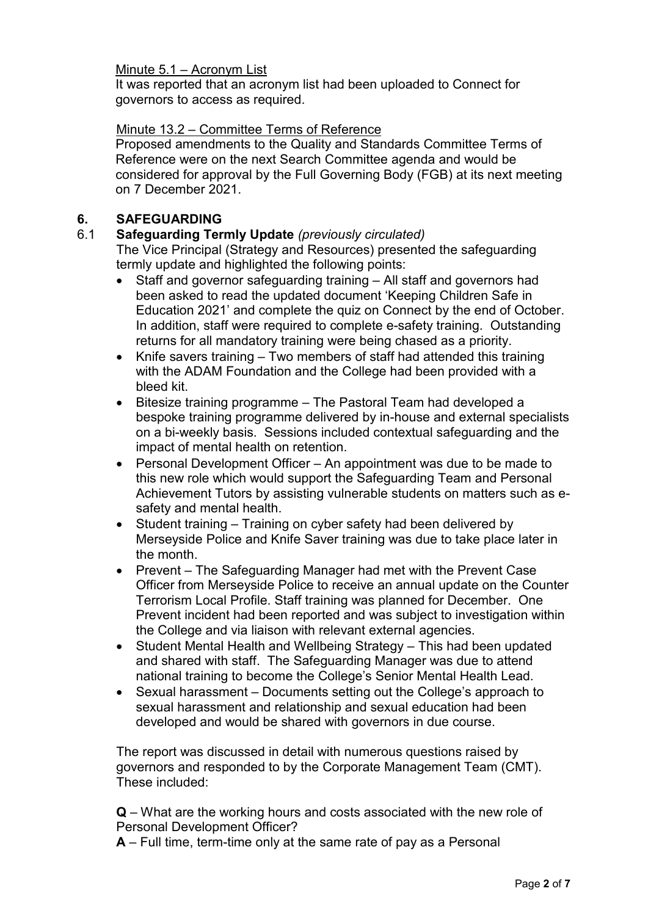#### Minute 5.1 – Acronym List

It was reported that an acronym list had been uploaded to Connect for governors to access as required.

#### Minute 13.2 – Committee Terms of Reference

Proposed amendments to the Quality and Standards Committee Terms of Reference were on the next Search Committee agenda and would be considered for approval by the Full Governing Body (FGB) at its next meeting on 7 December 2021.

## **6. SAFEGUARDING**

#### 6.1 **Safeguarding Termly Update** *(previously circulated)*

The Vice Principal (Strategy and Resources) presented the safeguarding termly update and highlighted the following points:

- Staff and governor safeguarding training All staff and governors had been asked to read the updated document 'Keeping Children Safe in Education 2021' and complete the quiz on Connect by the end of October. In addition, staff were required to complete e-safety training. Outstanding returns for all mandatory training were being chased as a priority.
- Knife savers training Two members of staff had attended this training with the ADAM Foundation and the College had been provided with a bleed kit.
- Bitesize training programme The Pastoral Team had developed a bespoke training programme delivered by in-house and external specialists on a bi-weekly basis. Sessions included contextual safeguarding and the impact of mental health on retention.
- Personal Development Officer An appointment was due to be made to this new role which would support the Safeguarding Team and Personal Achievement Tutors by assisting vulnerable students on matters such as esafety and mental health.
- Student training Training on cyber safety had been delivered by Merseyside Police and Knife Saver training was due to take place later in the month.
- Prevent The Safeguarding Manager had met with the Prevent Case Officer from Merseyside Police to receive an annual update on the Counter Terrorism Local Profile. Staff training was planned for December. One Prevent incident had been reported and was subject to investigation within the College and via liaison with relevant external agencies.
- Student Mental Health and Wellbeing Strategy This had been updated and shared with staff. The Safeguarding Manager was due to attend national training to become the College's Senior Mental Health Lead.
- Sexual harassment Documents setting out the College's approach to sexual harassment and relationship and sexual education had been developed and would be shared with governors in due course.

The report was discussed in detail with numerous questions raised by governors and responded to by the Corporate Management Team (CMT). These included:

**Q** – What are the working hours and costs associated with the new role of Personal Development Officer?

**A** – Full time, term-time only at the same rate of pay as a Personal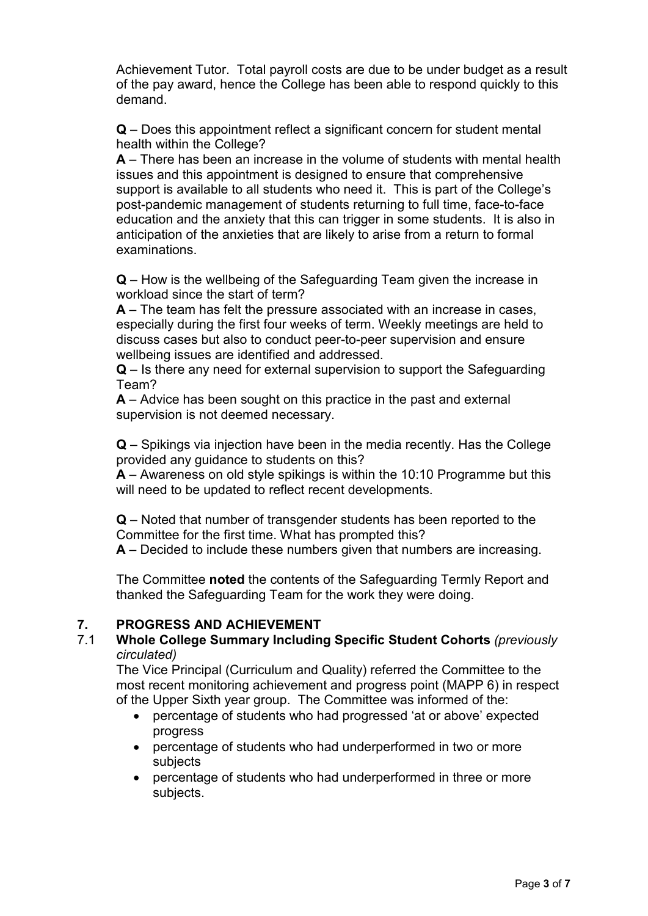Achievement Tutor. Total payroll costs are due to be under budget as a result of the pay award, hence the College has been able to respond quickly to this demand.

**Q** – Does this appointment reflect a significant concern for student mental health within the College?

**A** – There has been an increase in the volume of students with mental health issues and this appointment is designed to ensure that comprehensive support is available to all students who need it. This is part of the College's post-pandemic management of students returning to full time, face-to-face education and the anxiety that this can trigger in some students. It is also in anticipation of the anxieties that are likely to arise from a return to formal examinations.

**Q** – How is the wellbeing of the Safeguarding Team given the increase in workload since the start of term?

**A** – The team has felt the pressure associated with an increase in cases, especially during the first four weeks of term. Weekly meetings are held to discuss cases but also to conduct peer-to-peer supervision and ensure wellbeing issues are identified and addressed.

**Q** – Is there any need for external supervision to support the Safeguarding Team?

**A** – Advice has been sought on this practice in the past and external supervision is not deemed necessary.

**Q** – Spikings via injection have been in the media recently. Has the College provided any guidance to students on this?

**A** – Awareness on old style spikings is within the 10:10 Programme but this will need to be updated to reflect recent developments.

**Q** – Noted that number of transgender students has been reported to the Committee for the first time. What has prompted this?

**A** – Decided to include these numbers given that numbers are increasing.

The Committee **noted** the contents of the Safeguarding Termly Report and thanked the Safeguarding Team for the work they were doing.

# **7. PROGRESS AND ACHIEVEMENT**

### 7.1 **Whole College Summary Including Specific Student Cohorts** *(previously circulated)*

The Vice Principal (Curriculum and Quality) referred the Committee to the most recent monitoring achievement and progress point (MAPP 6) in respect of the Upper Sixth year group. The Committee was informed of the:

- percentage of students who had progressed 'at or above' expected progress
- percentage of students who had underperformed in two or more subjects
- percentage of students who had underperformed in three or more subjects.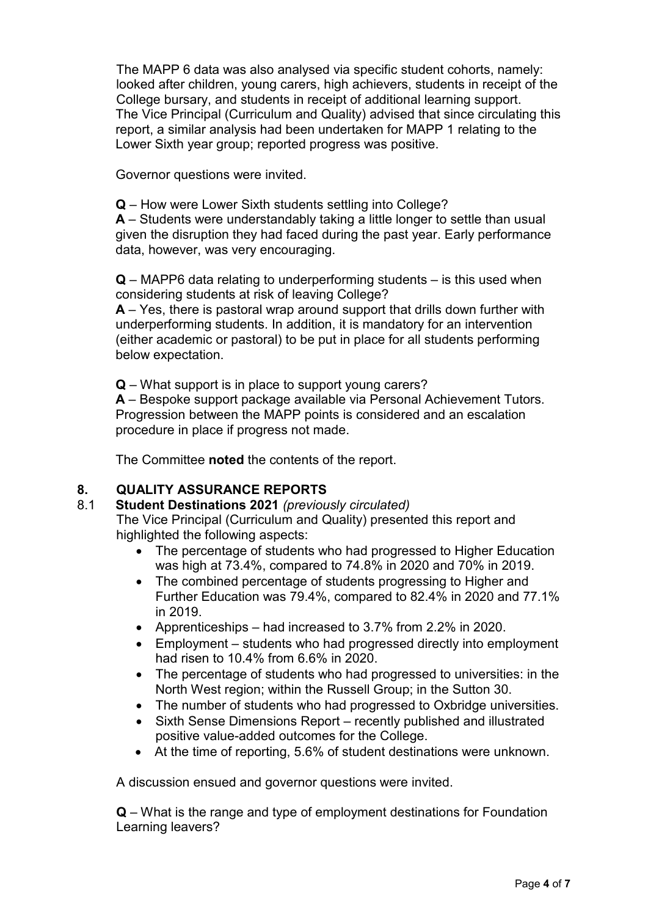The MAPP 6 data was also analysed via specific student cohorts, namely: looked after children, young carers, high achievers, students in receipt of the College bursary, and students in receipt of additional learning support. The Vice Principal (Curriculum and Quality) advised that since circulating this report, a similar analysis had been undertaken for MAPP 1 relating to the Lower Sixth year group; reported progress was positive.

Governor questions were invited.

**Q** – How were Lower Sixth students settling into College?

**A** – Students were understandably taking a little longer to settle than usual given the disruption they had faced during the past year. Early performance data, however, was very encouraging.

**Q** – MAPP6 data relating to underperforming students – is this used when considering students at risk of leaving College?

**A** – Yes, there is pastoral wrap around support that drills down further with underperforming students. In addition, it is mandatory for an intervention (either academic or pastoral) to be put in place for all students performing below expectation.

**Q** – What support is in place to support young carers?

**A** – Bespoke support package available via Personal Achievement Tutors. Progression between the MAPP points is considered and an escalation procedure in place if progress not made.

The Committee **noted** the contents of the report.

## **8. QUALITY ASSURANCE REPORTS**

#### 8.1 **Student Destinations 2021** *(previously circulated)*

The Vice Principal (Curriculum and Quality) presented this report and highlighted the following aspects:

- The percentage of students who had progressed to Higher Education was high at 73.4%, compared to 74.8% in 2020 and 70% in 2019.
- The combined percentage of students progressing to Higher and Further Education was 79.4%, compared to 82.4% in 2020 and 77.1% in 2019.
- Apprenticeships had increased to 3.7% from 2.2% in 2020.
- Employment students who had progressed directly into employment had risen to 10.4% from 6.6% in 2020.
- The percentage of students who had progressed to universities: in the North West region; within the Russell Group; in the Sutton 30.
- The number of students who had progressed to Oxbridge universities.
- Sixth Sense Dimensions Report recently published and illustrated positive value-added outcomes for the College.
- At the time of reporting, 5.6% of student destinations were unknown.

A discussion ensued and governor questions were invited.

**Q** – What is the range and type of employment destinations for Foundation Learning leavers?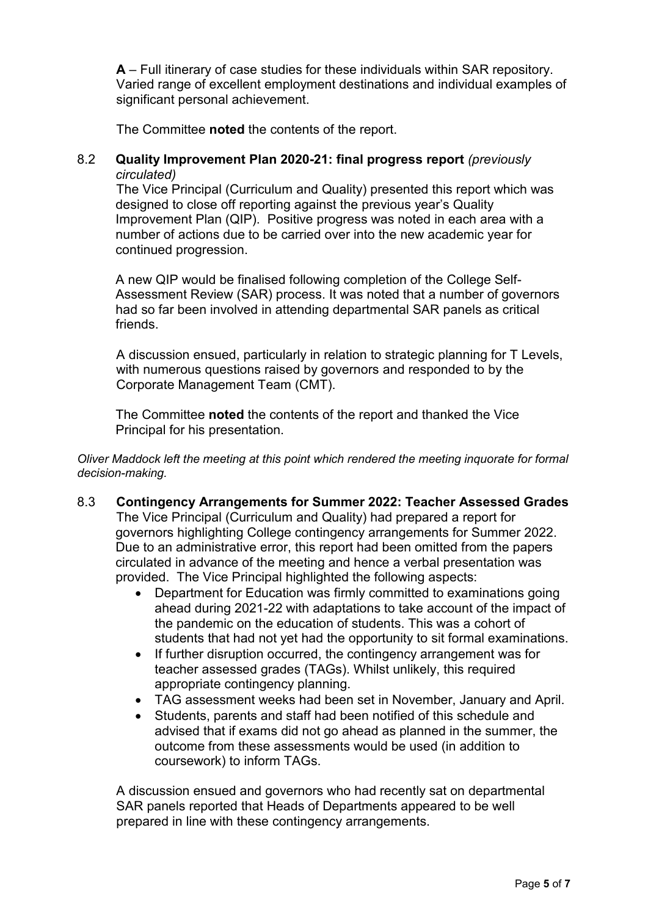**A** – Full itinerary of case studies for these individuals within SAR repository. Varied range of excellent employment destinations and individual examples of significant personal achievement.

The Committee **noted** the contents of the report.

#### 8.2 **Quality Improvement Plan 2020-21: final progress report** *(previously circulated)*

The Vice Principal (Curriculum and Quality) presented this report which was designed to close off reporting against the previous year's Quality Improvement Plan (QIP). Positive progress was noted in each area with a number of actions due to be carried over into the new academic year for continued progression.

A new QIP would be finalised following completion of the College Self-Assessment Review (SAR) process. It was noted that a number of governors had so far been involved in attending departmental SAR panels as critical friends.

A discussion ensued, particularly in relation to strategic planning for T Levels, with numerous questions raised by governors and responded to by the Corporate Management Team (CMT).

The Committee **noted** the contents of the report and thanked the Vice Principal for his presentation.

*Oliver Maddock left the meeting at this point which rendered the meeting inquorate for formal decision-making.*

- 8.3 **Contingency Arrangements for Summer 2022: Teacher Assessed Grades** The Vice Principal (Curriculum and Quality) had prepared a report for governors highlighting College contingency arrangements for Summer 2022. Due to an administrative error, this report had been omitted from the papers circulated in advance of the meeting and hence a verbal presentation was provided. The Vice Principal highlighted the following aspects:
	- Department for Education was firmly committed to examinations going ahead during 2021-22 with adaptations to take account of the impact of the pandemic on the education of students. This was a cohort of students that had not yet had the opportunity to sit formal examinations.
	- If further disruption occurred, the contingency arrangement was for teacher assessed grades (TAGs). Whilst unlikely, this required appropriate contingency planning.
	- TAG assessment weeks had been set in November, January and April.
	- Students, parents and staff had been notified of this schedule and advised that if exams did not go ahead as planned in the summer, the outcome from these assessments would be used (in addition to coursework) to inform TAGs.

A discussion ensued and governors who had recently sat on departmental SAR panels reported that Heads of Departments appeared to be well prepared in line with these contingency arrangements.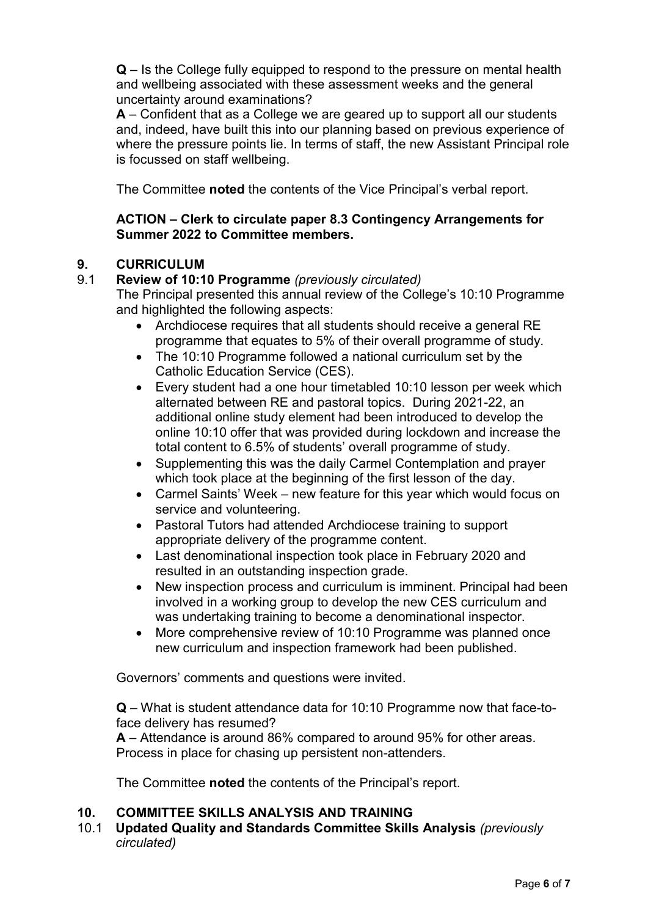**Q** – Is the College fully equipped to respond to the pressure on mental health and wellbeing associated with these assessment weeks and the general uncertainty around examinations?

**A** – Confident that as a College we are geared up to support all our students and, indeed, have built this into our planning based on previous experience of where the pressure points lie. In terms of staff, the new Assistant Principal role is focussed on staff wellbeing.

The Committee **noted** the contents of the Vice Principal's verbal report.

## **ACTION – Clerk to circulate paper 8.3 Contingency Arrangements for Summer 2022 to Committee members.**

# **9. CURRICULUM**

## 9.1 **Review of 10:10 Programme** *(previously circulated)*

The Principal presented this annual review of the College's 10:10 Programme and highlighted the following aspects:

- Archdiocese requires that all students should receive a general RE programme that equates to 5% of their overall programme of study.
- The 10:10 Programme followed a national curriculum set by the Catholic Education Service (CES).
- Every student had a one hour timetabled 10:10 lesson per week which alternated between RE and pastoral topics. During 2021-22, an additional online study element had been introduced to develop the online 10:10 offer that was provided during lockdown and increase the total content to 6.5% of students' overall programme of study.
- Supplementing this was the daily Carmel Contemplation and prayer which took place at the beginning of the first lesson of the day.
- Carmel Saints' Week new feature for this year which would focus on service and volunteering.
- Pastoral Tutors had attended Archdiocese training to support appropriate delivery of the programme content.
- Last denominational inspection took place in February 2020 and resulted in an outstanding inspection grade.
- New inspection process and curriculum is imminent. Principal had been involved in a working group to develop the new CES curriculum and was undertaking training to become a denominational inspector.
- More comprehensive review of 10:10 Programme was planned once new curriculum and inspection framework had been published.

Governors' comments and questions were invited.

**Q** – What is student attendance data for 10:10 Programme now that face-toface delivery has resumed?

**A** – Attendance is around 86% compared to around 95% for other areas. Process in place for chasing up persistent non-attenders.

The Committee **noted** the contents of the Principal's report.

## **10. COMMITTEE SKILLS ANALYSIS AND TRAINING**

10.1 **Updated Quality and Standards Committee Skills Analysis** *(previously circulated)*